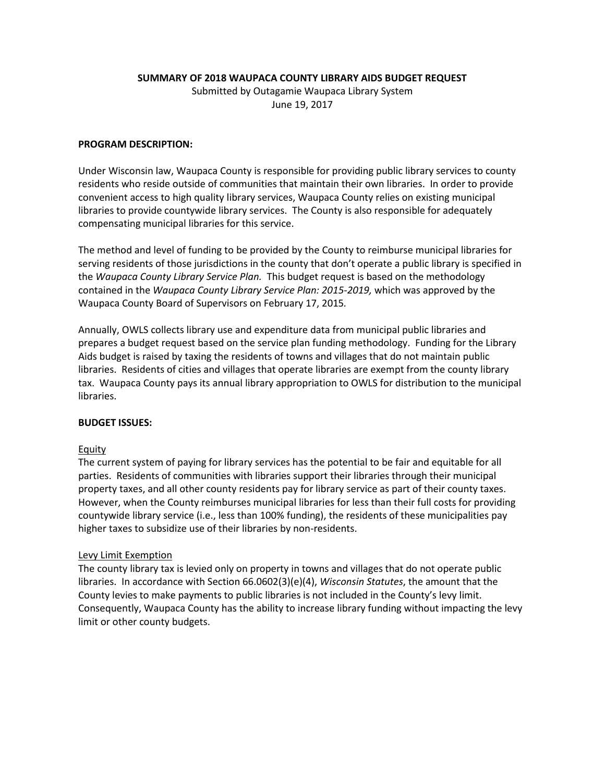**SUMMARY OF 2018 WAUPACA COUNTY LIBRARY AIDS BUDGET REQUEST**

Submitted by Outagamie Waupaca Library System June 19, 2017

## **PROGRAM DESCRIPTION:**

Under Wisconsin law, Waupaca County is responsible for providing public library services to county residents who reside outside of communities that maintain their own libraries. In order to provide convenient access to high quality library services, Waupaca County relies on existing municipal libraries to provide countywide library services. The County is also responsible for adequately compensating municipal libraries for this service.

The method and level of funding to be provided by the County to reimburse municipal libraries for serving residents of those jurisdictions in the county that don't operate a public library is specified in the *Waupaca County Library Service Plan.* This budget request is based on the methodology contained in the *Waupaca County Library Service Plan: 2015-2019,* which was approved by the Waupaca County Board of Supervisors on February 17, 2015*.*

Annually, OWLS collects library use and expenditure data from municipal public libraries and prepares a budget request based on the service plan funding methodology. Funding for the Library Aids budget is raised by taxing the residents of towns and villages that do not maintain public libraries. Residents of cities and villages that operate libraries are exempt from the county library tax. Waupaca County pays its annual library appropriation to OWLS for distribution to the municipal libraries.

## **BUDGET ISSUES:**

## Equity

The current system of paying for library services has the potential to be fair and equitable for all parties. Residents of communities with libraries support their libraries through their municipal property taxes, and all other county residents pay for library service as part of their county taxes. However, when the County reimburses municipal libraries for less than their full costs for providing countywide library service (i.e., less than 100% funding), the residents of these municipalities pay higher taxes to subsidize use of their libraries by non-residents.

## Levy Limit Exemption

The county library tax is levied only on property in towns and villages that do not operate public libraries. In accordance with Section 66.0602(3)(e)(4), *Wisconsin Statutes*, the amount that the County levies to make payments to public libraries is not included in the County's levy limit. Consequently, Waupaca County has the ability to increase library funding without impacting the levy limit or other county budgets.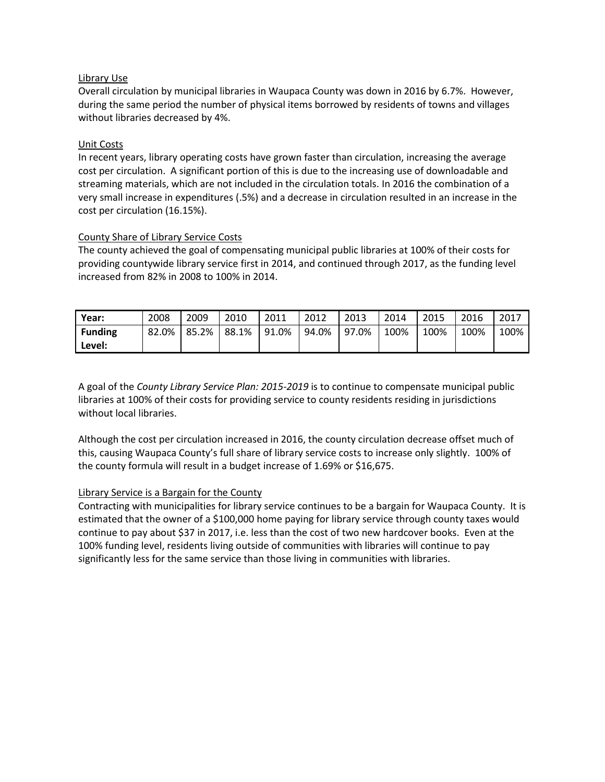## Library Use

Overall circulation by municipal libraries in Waupaca County was down in 2016 by 6.7%. However, during the same period the number of physical items borrowed by residents of towns and villages without libraries decreased by 4%.

## Unit Costs

In recent years, library operating costs have grown faster than circulation, increasing the average cost per circulation. A significant portion of this is due to the increasing use of downloadable and streaming materials, which are not included in the circulation totals. In 2016 the combination of a very small increase in expenditures (.5%) and a decrease in circulation resulted in an increase in the cost per circulation (16.15%).

## County Share of Library Service Costs

The county achieved the goal of compensating municipal public libraries at 100% of their costs for providing countywide library service first in 2014, and continued through 2017, as the funding level increased from 82% in 2008 to 100% in 2014.

| Year:          | 2008  | 2009  | 2010  | 2011  | 2012  | 2013  | 2014 | 2015 | 2016 | 2017 |
|----------------|-------|-------|-------|-------|-------|-------|------|------|------|------|
| <b>Funding</b> | 82.0% | 85.2% | 88.1% | 91.0% | 94.0% | 97.0% | 100% | 100% | 100% | 100% |
| Level:         |       |       |       |       |       |       |      |      |      |      |

A goal of the *County Library Service Plan: 2015-2019* is to continue to compensate municipal public libraries at 100% of their costs for providing service to county residents residing in jurisdictions without local libraries.

Although the cost per circulation increased in 2016, the county circulation decrease offset much of this, causing Waupaca County's full share of library service costs to increase only slightly. 100% of the county formula will result in a budget increase of 1.69% or \$16,675.

## Library Service is a Bargain for the County

Contracting with municipalities for library service continues to be a bargain for Waupaca County. It is estimated that the owner of a \$100,000 home paying for library service through county taxes would continue to pay about \$37 in 2017, i.e. less than the cost of two new hardcover books. Even at the 100% funding level, residents living outside of communities with libraries will continue to pay significantly less for the same service than those living in communities with libraries.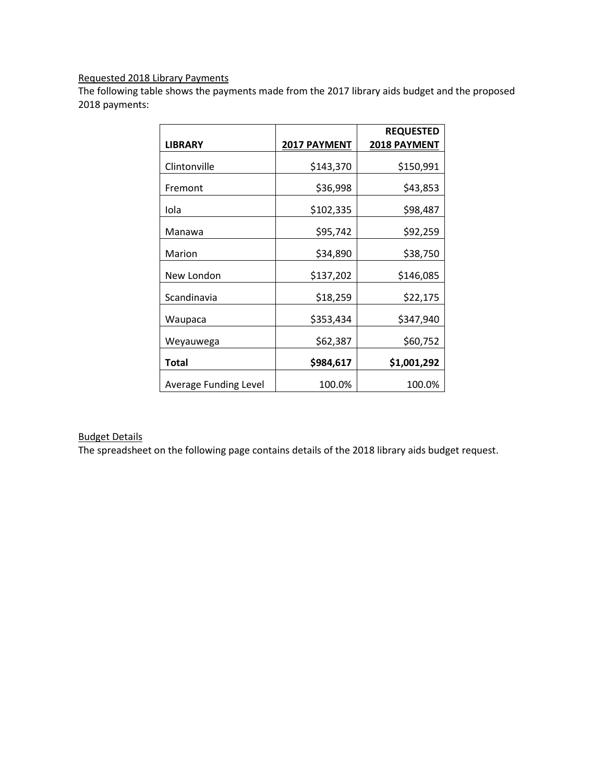# Requested 2018 Library Payments

The following table shows the payments made from the 2017 library aids budget and the proposed 2018 payments:

|                              |              | <b>REQUESTED</b>    |
|------------------------------|--------------|---------------------|
| LIBRARY                      | 2017 PAYMENT | <b>2018 PAYMENT</b> |
| Clintonville                 | \$143,370    | \$150,991           |
| Fremont                      | \$36,998     | \$43,853            |
| Iola                         | \$102,335    | \$98,487            |
| Manawa                       | \$95,742     | \$92,259            |
| Marion                       | \$34,890     | \$38,750            |
| New London                   | \$137,202    | \$146,085           |
| Scandinavia                  | \$18,259     | \$22,175            |
| Waupaca                      | \$353,434    | \$347,940           |
| Weyauwega                    | \$62,387     | \$60,752            |
| <b>Total</b>                 | \$984,617    | \$1,001,292         |
| <b>Average Funding Level</b> | 100.0%       | 100.0%              |

# Budget Details

The spreadsheet on the following page contains details of the 2018 library aids budget request.